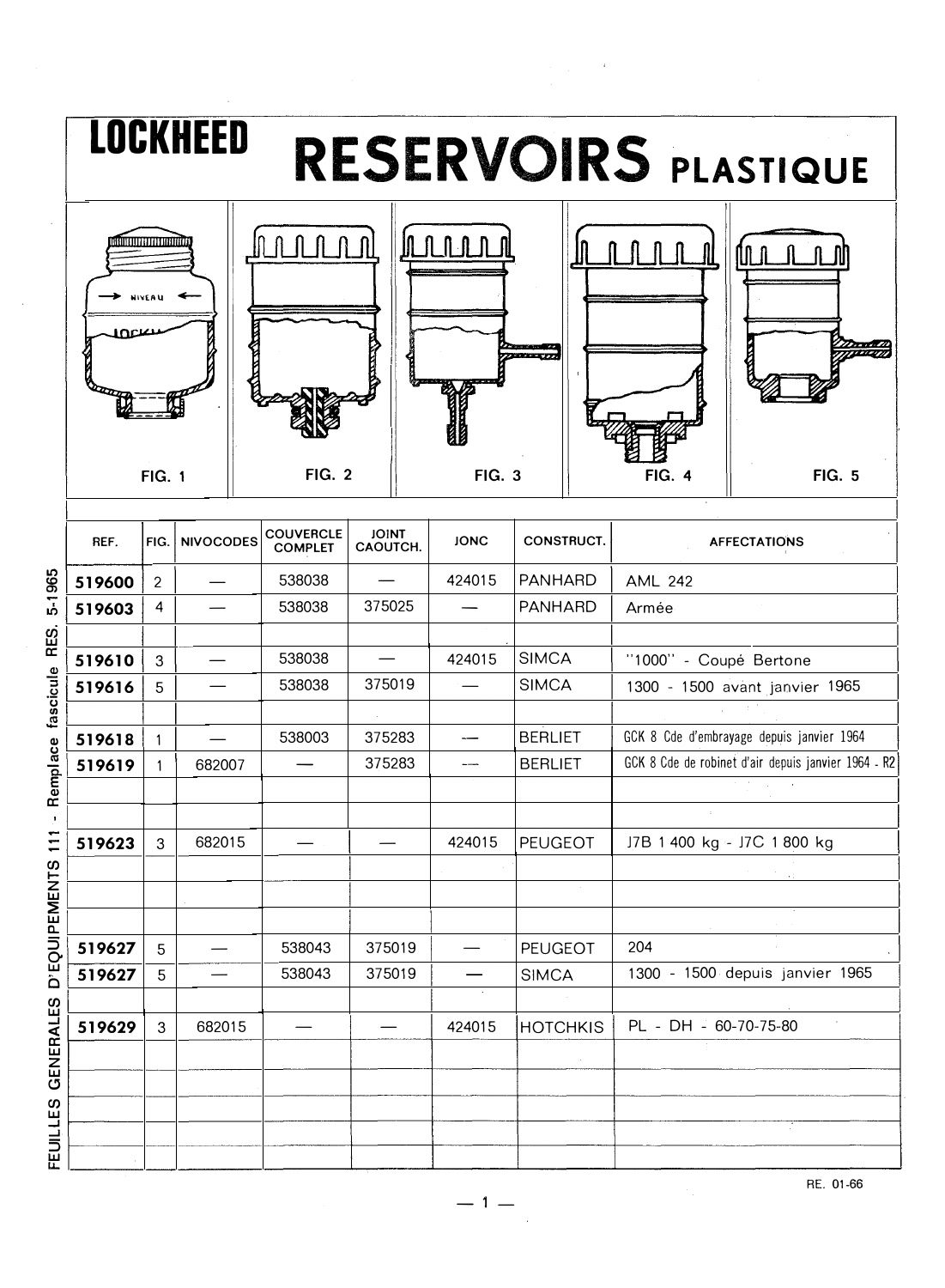

5-1965 Remplace fascicule RES.  $\bar{J}$ D'EOUIPEMENTS 111 FEUILLES GENERALES

RE. 01-66

 $-1 -$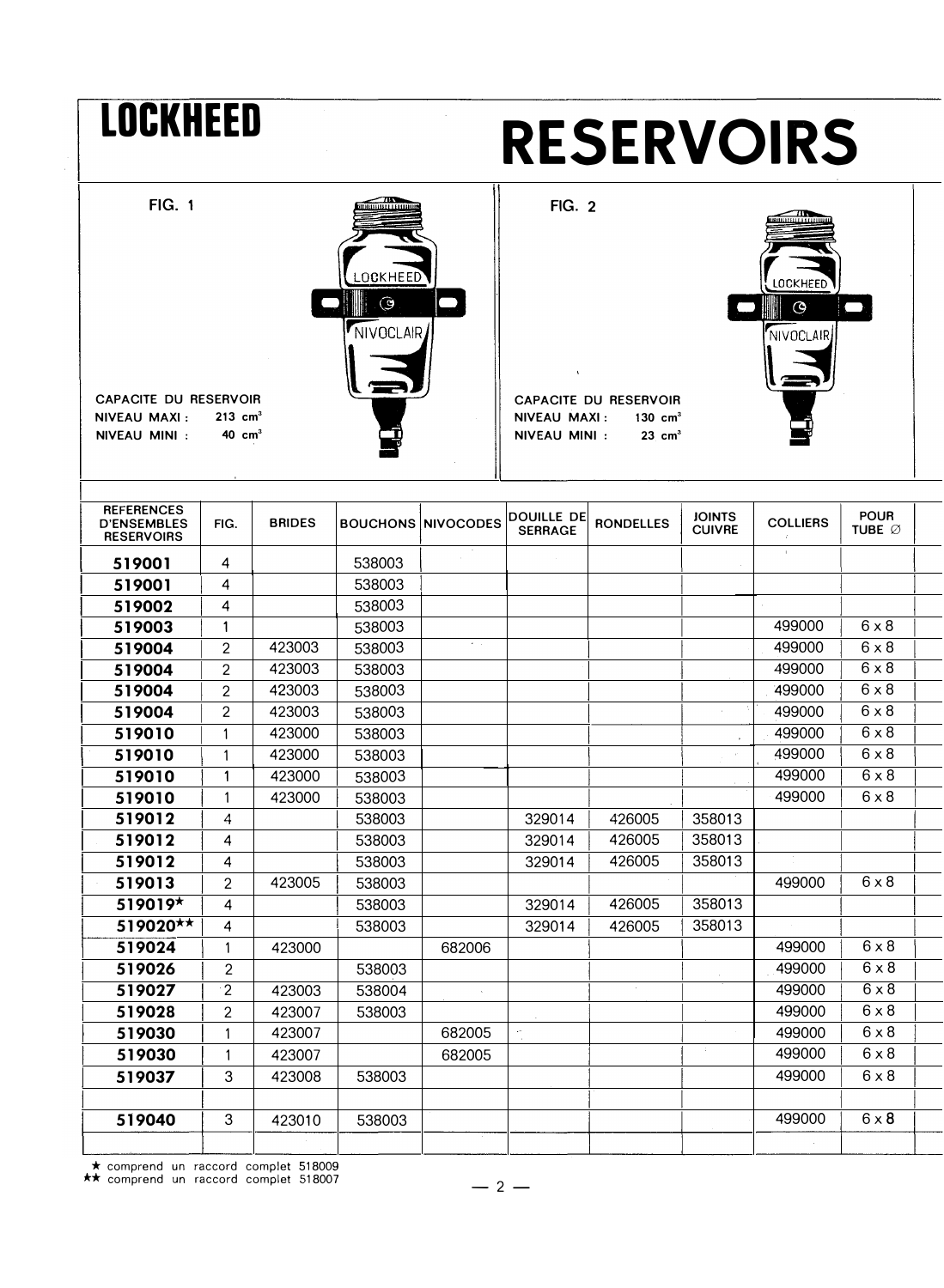| <b>LOCKHEED</b>                                                                       |                                            |                  | <b>RESERVOIRS</b>                      |                           |                                               |                                                                         |                                        |                  |                              |  |  |  |
|---------------------------------------------------------------------------------------|--------------------------------------------|------------------|----------------------------------------|---------------------------|-----------------------------------------------|-------------------------------------------------------------------------|----------------------------------------|------------------|------------------------------|--|--|--|
| <b>FIG. 1</b><br><b>CAPACITE DU RESERVOIR</b><br><b>NIVEAU MAXI:</b><br>NIVEAU MINI : | $213$ cm <sup>3</sup><br>$40 \text{ cm}^3$ |                  | <b>OCKHEED</b><br>$\odot$<br>NIVOCLAIR |                           | <b>FIG. 2</b><br>NIVEAU MAXI:<br>NIVEAU MINI: | <b>CAPACITE DU RESERVOIR</b><br>$130 \text{ cm}^3$<br>$23 \text{ cm}^3$ | <b>OCKHEED</b><br>$\odot$<br>NIVOCLAIR |                  |                              |  |  |  |
| <b>REFERENCES</b><br><b>D'ENSEMBLES</b><br><b>RESERVOIRS</b>                          | FIG.                                       | <b>BRIDES</b>    |                                        | <b>BOUCHONS NIVOCODES</b> | <b>DOUILLE DE</b><br><b>SERRAGE</b>           | <b>RONDELLES</b>                                                        | <b>JOINTS</b><br><b>CUIVRE</b>         | <b>COLLIERS</b>  | <b>POUR</b><br><b>TUBE Ø</b> |  |  |  |
| 519001                                                                                | 4                                          |                  | 538003                                 |                           |                                               |                                                                         |                                        | $\mathbf{I}$     |                              |  |  |  |
| 519001                                                                                | 4                                          |                  | 538003                                 |                           |                                               |                                                                         |                                        |                  |                              |  |  |  |
| 519002                                                                                | 4                                          |                  | 538003                                 |                           |                                               |                                                                         |                                        |                  |                              |  |  |  |
| 519003                                                                                | $\mathbf{1}$                               |                  | 538003                                 |                           |                                               |                                                                         |                                        | 499000           | $6 \times 8$                 |  |  |  |
| 519004                                                                                | 2                                          | 423003           | 538003                                 | $\tau_{\rm{max}}$         |                                               |                                                                         |                                        | 499000           | $6 \times 8$                 |  |  |  |
| 519004                                                                                | $\overline{c}$                             | 423003           | 538003                                 |                           |                                               |                                                                         |                                        | 499000           | $6 \times 8$                 |  |  |  |
| 519004                                                                                | 2                                          | 423003           | 538003                                 |                           |                                               |                                                                         |                                        | 499000           | $6 \times 8$                 |  |  |  |
| 519004                                                                                | $\overline{2}$                             | 423003           | 538003                                 |                           |                                               |                                                                         | ×.                                     | 499000           | $6 \times 8$                 |  |  |  |
| 519010                                                                                | 1                                          | 423000           | 538003                                 |                           |                                               |                                                                         |                                        | 499000           | $6 \times 8$                 |  |  |  |
| 519010                                                                                | 1                                          | 423000           | 538003                                 |                           |                                               |                                                                         |                                        | 499000           | $6 \times 8$                 |  |  |  |
| 519010                                                                                | 1                                          | 423000           | 538003                                 |                           |                                               |                                                                         |                                        | 499000           | $6 \times 8$                 |  |  |  |
| 519010                                                                                | 1                                          | 423000           | 538003                                 |                           |                                               |                                                                         |                                        | 499000           | $6 \times 8$                 |  |  |  |
| 519012                                                                                | 4                                          |                  | 538003                                 |                           | 329014                                        | 426005                                                                  | 358013                                 |                  |                              |  |  |  |
| 519012                                                                                | 4                                          |                  | 538003                                 |                           | 329014                                        | 426005                                                                  | 358013                                 |                  |                              |  |  |  |
| 519012                                                                                | 4                                          |                  | 538003                                 |                           | 329014                                        | 426005                                                                  | 358013                                 |                  |                              |  |  |  |
| 519013<br>519019*                                                                     | $\mathbf{2}$                               | 423005           | 538003                                 |                           |                                               | 426005                                                                  |                                        | 499000           | $6 \times 8$                 |  |  |  |
| 519020**                                                                              | 4                                          |                  | 538003                                 |                           | 329014                                        |                                                                         | 358013<br>358013                       |                  |                              |  |  |  |
| 519024                                                                                | 4                                          | 423000           | 538003                                 | 682006                    | 329014                                        | 426005                                                                  |                                        | 499000           | $6 \times 8$                 |  |  |  |
|                                                                                       | 1<br>$\overline{2}$                        |                  | 538003                                 |                           |                                               |                                                                         |                                        | 499000           | $6 \times 8$                 |  |  |  |
|                                                                                       |                                            |                  |                                        |                           |                                               |                                                                         |                                        | 499000           | $6 \times 8$                 |  |  |  |
| 519026                                                                                |                                            |                  |                                        |                           |                                               |                                                                         |                                        |                  |                              |  |  |  |
| 519027                                                                                | $\cdot$ 2                                  | 423003           | 538004                                 |                           |                                               |                                                                         |                                        |                  |                              |  |  |  |
| 519028                                                                                | $\overline{c}$                             | 423007           | 538003                                 |                           |                                               |                                                                         |                                        | 499000           | $6 \times 8$                 |  |  |  |
| 519030<br>519030                                                                      | 1<br>1                                     | 423007<br>423007 |                                        | 682005<br>682005          | ÷,                                            |                                                                         | -97                                    | 499000<br>499000 | $6 \times 8$<br>$6 \times 8$ |  |  |  |

\* comprend un raccord complet 518009 \*\* comprend un raccord complet 518007

519040 3 423010

538003 499000 6 x 8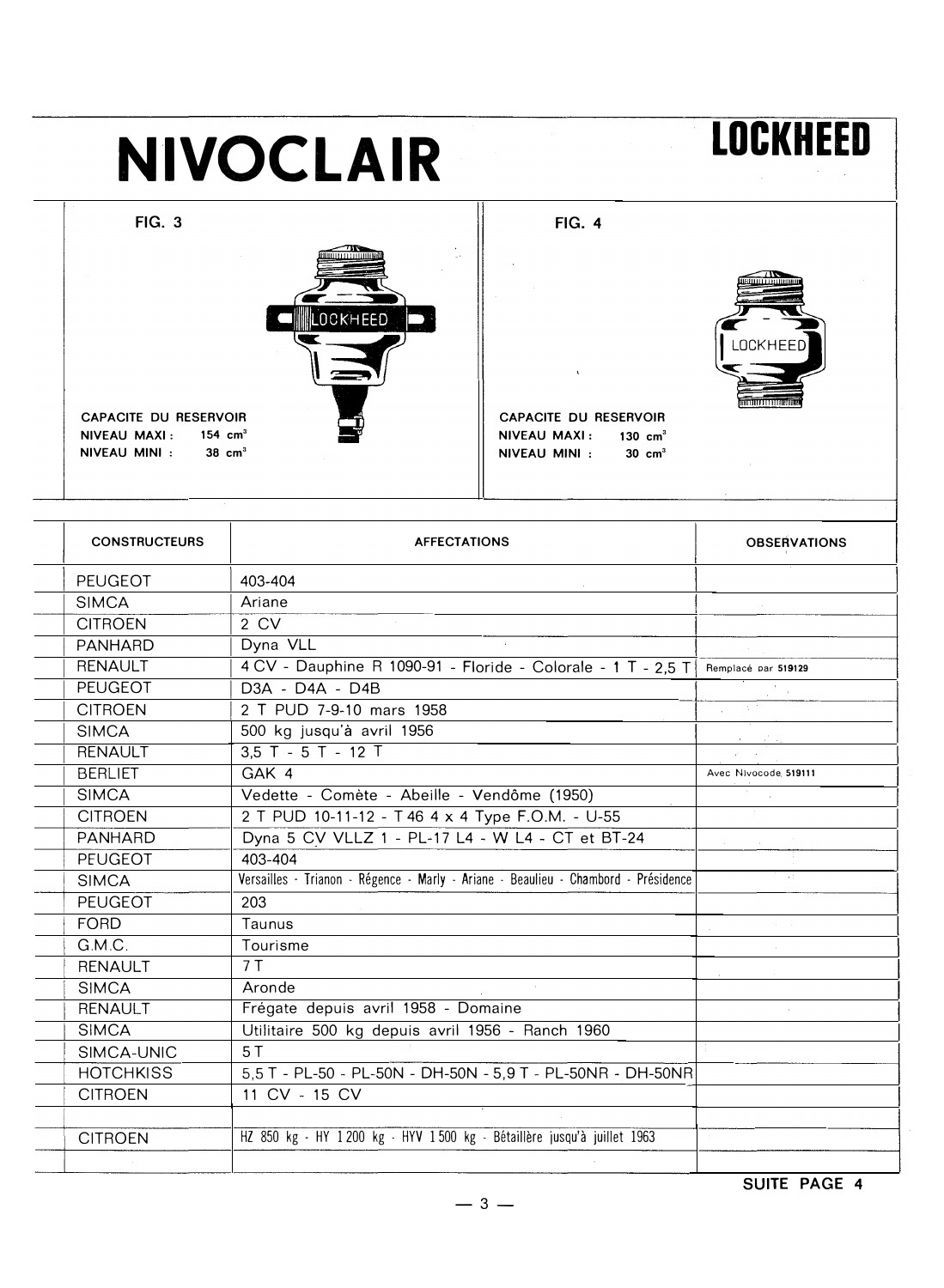#### **LOCKHEED NIVOCLAIR FIG. 4 FIG. 3** LOCKHEED **OCKHEED CAPACITE DU RESERVOIR** CAPACITE DU RESERVOIR NIVEAU MAXI: 154 cm<sup>3</sup> NIVEAU MAXI: 130 cm<sup>3</sup> NIVEAU MINI :  $38 \text{ cm}^3$ NIVEAU MINI :  $30 \text{ cm}^3$

| <b>CONSTRUCTEURS</b> | <b>AFFECTATIONS</b>                                                                | <b>OBSERVATIONS</b>  |
|----------------------|------------------------------------------------------------------------------------|----------------------|
| <b>PEUGEOT</b>       | 403-404                                                                            |                      |
| <b>SIMCA</b>         | Ariane                                                                             |                      |
| <b>CITROEN</b>       | 2 CV                                                                               |                      |
| <b>PANHARD</b>       | Dyna VLL                                                                           |                      |
| <b>RENAULT</b>       | 4 CV - Dauphine R 1090-91 - Floride - Colorale - 1 T - 2,5 T                       | Remplacé par 519129  |
| <b>PEUGEOT</b>       | D3A - D4A - D4B                                                                    |                      |
| <b>CITROEN</b>       | 2 T PUD 7-9-10 mars 1958                                                           |                      |
| <b>SIMCA</b>         | 500 kg jusqu'à avril 1956                                                          |                      |
| <b>RENAULT</b>       | $3.5$ T - $5$ T - 12 T                                                             |                      |
| <b>BERLIET</b>       | GAK 4                                                                              | Avec Nivocode 519111 |
| <b>SIMCA</b>         | Vedette - Comète - Abeille - Vendôme (1950)                                        |                      |
| <b>CITROEN</b>       | 2 T PUD 10-11-12 - T 46 4 x 4 Type F.O.M. - U-55                                   |                      |
| <b>PANHARD</b>       | Dyna 5 CV VLLZ 1 - PL-17 L4 - W L4 - CT et BT-24                                   |                      |
| PEUGEOT              | 403-404                                                                            |                      |
| <b>SIMCA</b>         | Versailles - Trianon - Régence - Marly - Ariane - Beaulieu - Chambord - Présidence | k.                   |
| PEUGEOT              | 203                                                                                |                      |
| <b>FORD</b>          | Taunus                                                                             |                      |
| G.M.C.               | Tourisme                                                                           |                      |
| <b>RENAULT</b>       | 7T                                                                                 |                      |
| <b>SIMCA</b>         | Aronde                                                                             |                      |
| <b>RENAULT</b>       | Frégate depuis avril 1958 - Domaine                                                |                      |
| <b>SIMCA</b>         | Utilitaire 500 kg depuis avril 1956 - Ranch 1960                                   |                      |
| SIMCA-UNIC           | 5T                                                                                 |                      |
| <b>HOTCHKISS</b>     | 5,5 T - PL-50 - PL-50N - DH-50N - 5,9 T - PL-50NR - DH-50NR                        |                      |
| <b>CITROEN</b>       | 11 CV - 15 CV                                                                      |                      |
|                      |                                                                                    |                      |
| <b>CITROEN</b>       | HZ 850 kg - HY 1200 kg - HYV 1500 kg - Bétaillère jusqu'à juillet 1963             |                      |
|                      |                                                                                    |                      |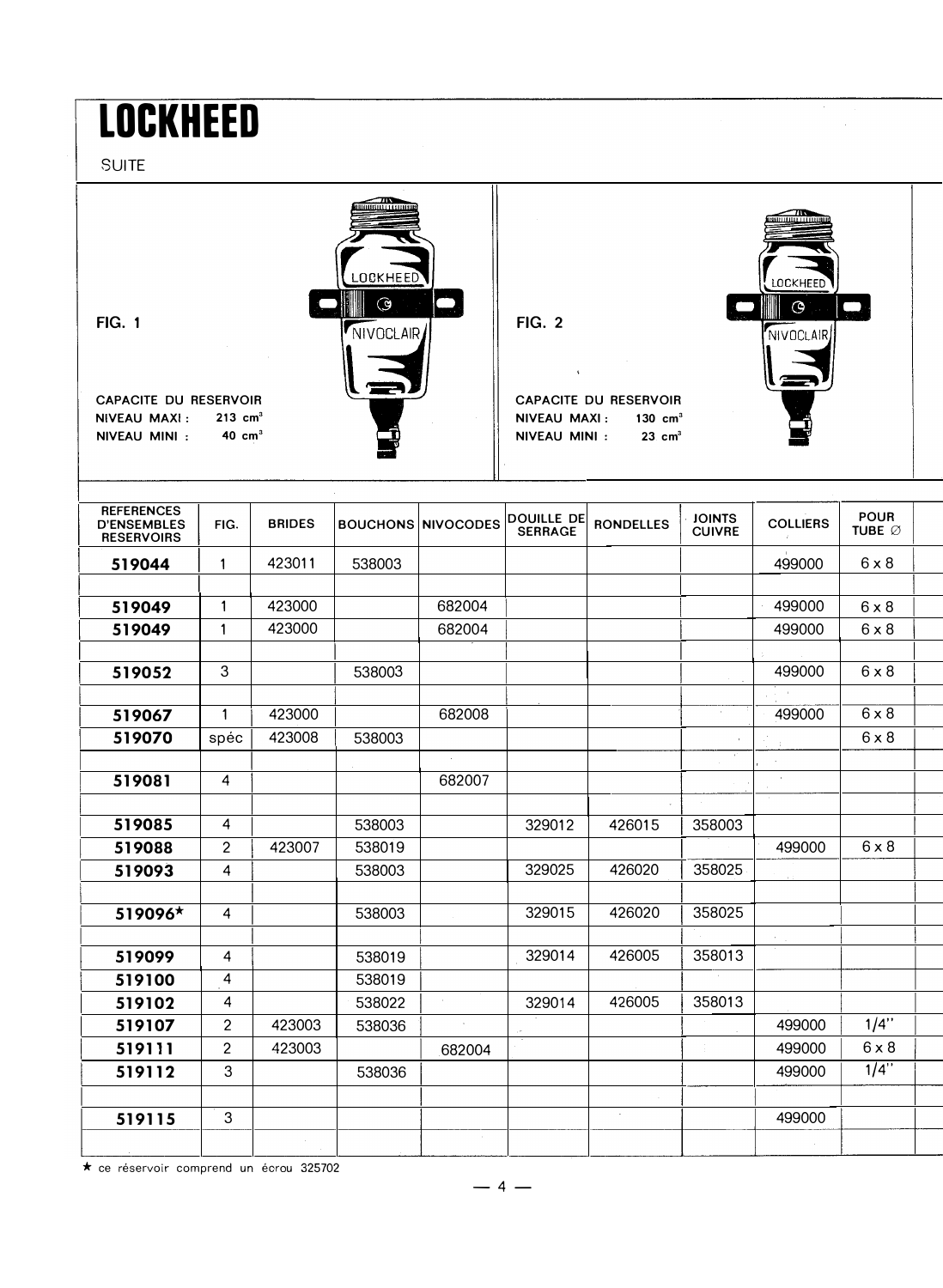# **LOCKHEED**

**SUITE** 



| <b>REFERENCES</b><br><b>D'ENSEMBLES</b><br><b>RESERVOIRS</b> | FIG.             | <b>BRIDES</b> |        | <b>BOUCHONS NIVOCODES</b> | <b>DOUILLE DE</b><br><b>SERRAGE</b> | <b>RONDELLES</b> | <b>JOINTS</b><br><b>CUIVRE</b> | <b>COLLIERS</b> | <b>POUR</b><br>TUBE Ø |  |
|--------------------------------------------------------------|------------------|---------------|--------|---------------------------|-------------------------------------|------------------|--------------------------------|-----------------|-----------------------|--|
| 519044                                                       | 1                | 423011        | 538003 |                           |                                     |                  |                                | 499000          | $6 \times 8$          |  |
|                                                              |                  |               |        |                           |                                     |                  |                                |                 |                       |  |
| 519049                                                       | $\mathbf{1}$     | 423000        |        | 682004                    |                                     |                  |                                | 499000          | $6 \times 8$          |  |
| 519049                                                       | $\mathbf{1}$     | 423000        |        | 682004                    |                                     |                  |                                | 499000          | $6 \times 8$          |  |
|                                                              |                  |               |        |                           |                                     |                  |                                |                 |                       |  |
| 519052                                                       | $\boldsymbol{3}$ |               | 538003 |                           |                                     |                  |                                | 499000          | $6 \times 8$          |  |
|                                                              |                  |               |        |                           |                                     |                  |                                |                 |                       |  |
| 519067                                                       | $\mathbf{1}$     | 423000        |        | 682008                    |                                     |                  | $\epsilon$                     | 499000          | $6 \times 8$          |  |
| 519070                                                       | spéc             | 423008        | 538003 |                           |                                     |                  |                                |                 | $6 \times 8$          |  |
|                                                              |                  |               |        |                           |                                     |                  |                                |                 |                       |  |
| 519081                                                       | $\overline{4}$   |               |        | 682007                    |                                     |                  |                                | $\sim$          |                       |  |
|                                                              |                  |               |        |                           |                                     |                  |                                |                 |                       |  |
| 519085                                                       | $\overline{4}$   |               | 538003 |                           | 329012                              | 426015           | 358003                         |                 |                       |  |
| 519088                                                       | $\overline{2}$   | 423007        | 538019 |                           |                                     |                  |                                | 499000          | $6 \times 8$          |  |
| 519093                                                       | $\overline{4}$   |               | 538003 |                           | 329025                              | 426020           | 358025                         |                 |                       |  |
|                                                              |                  |               |        |                           |                                     |                  |                                |                 |                       |  |
| 519096*                                                      | $\overline{4}$   |               | 538003 |                           | 329015                              | 426020           | 358025                         |                 |                       |  |
|                                                              |                  |               |        |                           |                                     |                  |                                |                 |                       |  |
| 519099                                                       | $\overline{4}$   |               | 538019 |                           | 329014                              | 426005           | 358013                         |                 |                       |  |
| 519100                                                       | 4                |               | 538019 |                           |                                     |                  |                                |                 |                       |  |
| 519102                                                       | 4                |               | 538022 |                           | 329014                              | 426005           | 358013                         |                 |                       |  |
| 519107                                                       | $\overline{2}$   | 423003        | 538036 |                           |                                     |                  |                                | 499000          | 1/4"                  |  |
| 519111                                                       | $\overline{2}$   | 423003        |        | 682004                    |                                     |                  | $\epsilon$                     | 499000          | $6 \times 8$          |  |
| 519112                                                       | 3                |               | 538036 |                           |                                     |                  |                                | 499000          | $1/4$ "               |  |
|                                                              |                  |               |        |                           |                                     |                  |                                |                 |                       |  |
| 519115                                                       | 3                |               |        |                           |                                     | $\sim$           |                                | 499000          |                       |  |
|                                                              |                  |               |        | ÷.                        |                                     |                  |                                |                 |                       |  |
|                                                              |                  |               |        |                           |                                     |                  |                                |                 |                       |  |

\* ce réservoir comprend un écrou 325702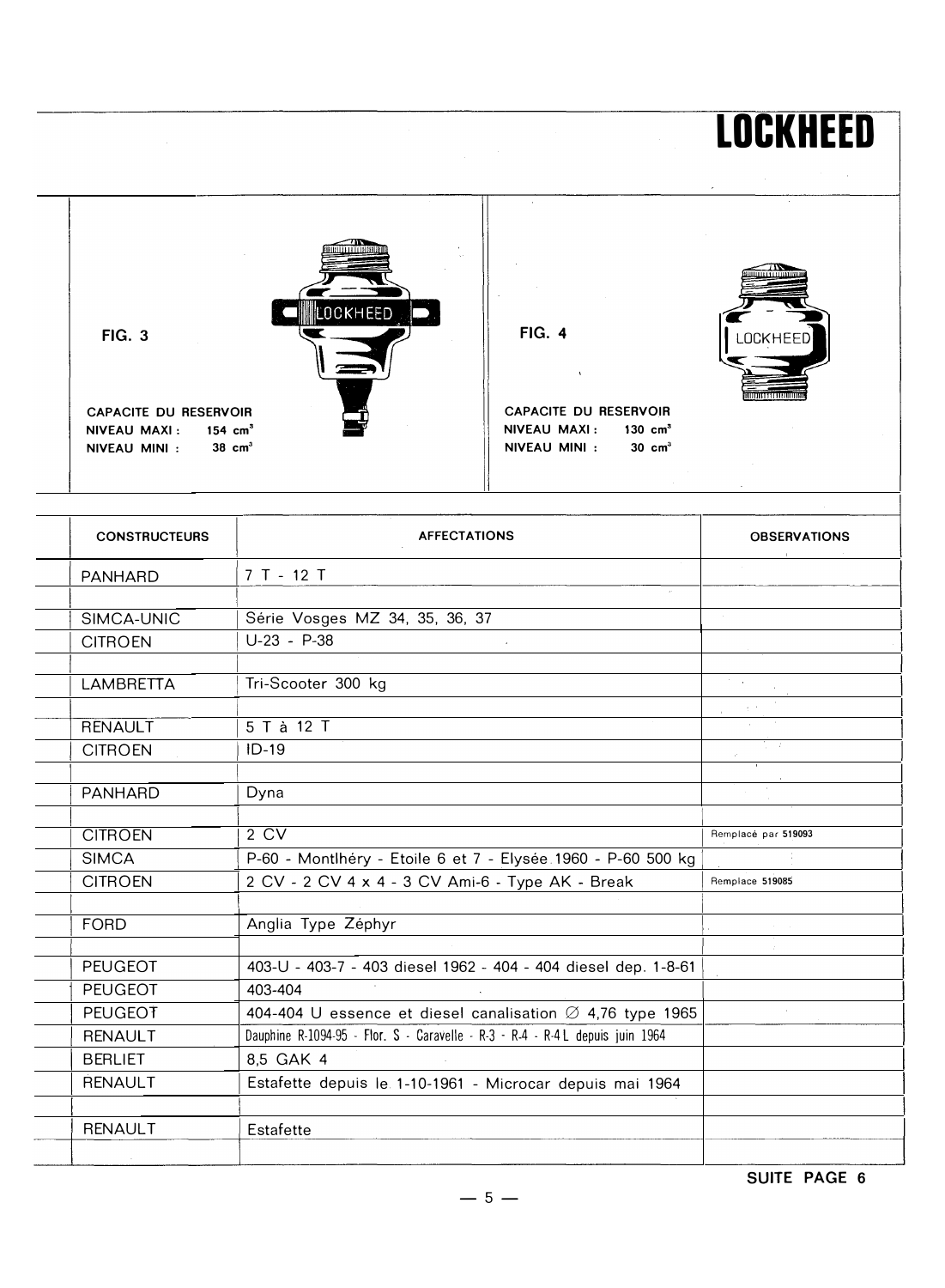### -- �  $\overline{\phantom{a}}$  -  $\overline{\phantom{a}}$ - -  $\overline{\bullet}$  -  $\overline{\bullet}$  -  $\overline{\bullet}$ FIG. 3 **1 PM COOKHEED**  $\blacktriangledown$ ' -- CAPACITE DU RESERVOIR **ANALY EXECUTE DE RESERVOIR**  $NIVEAU MAXI: 154 cm<sup>3</sup>$  NIVEAU MAXI: 130 cm<sup>3</sup>  $NIVEAU$   $MINI$  : 38 cm<sup>3</sup>  $\begin{bmatrix} \end{bmatrix}$  NIVEAU MINI : 30 cm<sup>3</sup>

| <b>CONSTRUCTEURS</b> | <b>AFFECTATIONS</b>                                                           | <b>OBSERVATIONS</b>       |
|----------------------|-------------------------------------------------------------------------------|---------------------------|
| <b>PANHARD</b>       | 7 T - 12 T                                                                    |                           |
| SIMCA-UNIC           | Série Vosges MZ 34, 35, 36, 37                                                |                           |
| <b>CITROEN</b>       | $U-23 - P-38$                                                                 |                           |
| <b>LAMBRETTA</b>     | Tri-Scooter 300 kg                                                            | $\mathcal{F}=\mathcal{F}$ |
| <b>RENAULT</b>       | 5 T à 12 T                                                                    | $\eta=0$                  |
| <b>CITROEN</b>       | $ID-19$                                                                       |                           |
| <b>PANHARD</b>       | Dyna                                                                          |                           |
| <b>CITROEN</b>       | 2CV                                                                           | Remplacé par 519093       |
| <b>SIMCA</b>         | P-60 - Montlhéry - Etoile 6 et 7 - Elysée 1960 - P-60 500 kg                  |                           |
| <b>CITROEN</b>       | 2 CV - 2 CV 4 x 4 - 3 CV Ami-6 - Type AK - Break                              | Remplace 519085           |
| <b>FORD</b>          | Anglia Type Zéphyr                                                            |                           |
| <b>PEUGEOT</b>       | 403-U - 403-7 - 403 diesel 1962 - 404 - 404 diesel dep. 1-8-61                |                           |
| <b>PEUGEOT</b>       | 403-404                                                                       |                           |
| <b>PEUGEOT</b>       | 404-404 U essence et diesel canalisation $\varnothing$ 4,76 type 1965         |                           |
| <b>RENAULT</b>       | Dauphine R-1094-95 - Flor. S - Caravelle - R-3 - R-4 - R-4 L depuis juin 1964 |                           |
| <b>BERLIET</b>       | 8.5 GAK 4                                                                     |                           |
| <b>RENAULT</b>       | Estafette depuis le 1-10-1961 - Microcar depuis mai 1964                      |                           |
| <b>RENAULT</b>       | Estafette                                                                     |                           |
|                      |                                                                               |                           |

SUITE PAGE 6

LOCKHEED

 $-5-$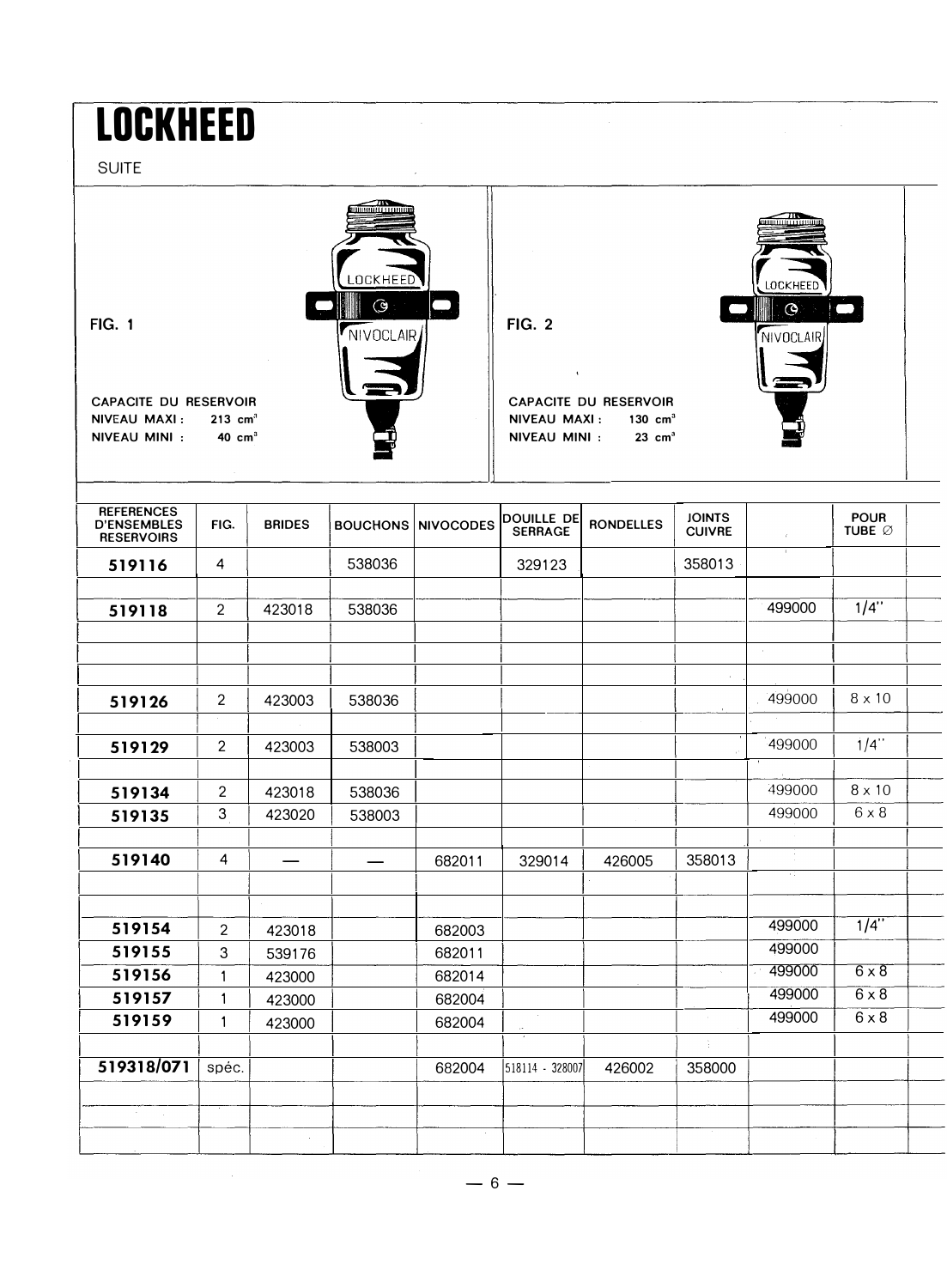### LOCKHEED

SUITE



| <b>REFERENCES</b><br><b>D'ENSEMBLES</b><br><b>RESERVOIRS</b> | FIG.           | <b>BRIDES</b> |        | <b>BOUCHONS NIVOCODES</b> | DOUILLE DE<br><b>SERRAGE</b> | <b>RONDELLES</b> | <b>JOINTS</b><br><b>CUIVRE</b> | $\mathcal{E}$ | <b>POUR</b><br>TUBE Ø |  |
|--------------------------------------------------------------|----------------|---------------|--------|---------------------------|------------------------------|------------------|--------------------------------|---------------|-----------------------|--|
| 519116                                                       | $\overline{4}$ |               | 538036 |                           | 329123                       |                  | 358013                         | $\mathbb{L}$  |                       |  |
|                                                              |                |               |        |                           |                              |                  |                                |               |                       |  |
| 519118                                                       | $\overline{2}$ | 423018        | 538036 |                           |                              |                  |                                | 499000        | 1/4"                  |  |
|                                                              |                |               |        |                           |                              |                  |                                | $\sim$        |                       |  |
|                                                              |                |               |        |                           |                              |                  | $\cdot$                        |               |                       |  |
| 519126                                                       | $\overline{c}$ | 423003        | 538036 |                           |                              |                  |                                | 499000        | $8 \times 10$         |  |
| 519129                                                       | $\overline{2}$ | 423003        | 538003 |                           |                              |                  |                                | 499000        | $1/4$ "               |  |
|                                                              |                |               |        |                           |                              |                  |                                |               |                       |  |
| 519134                                                       | $\overline{2}$ | 423018        | 538036 |                           |                              |                  |                                | 499000        | $8 \times 10$         |  |
| 519135                                                       | $\mathfrak{S}$ | 423020        | 538003 |                           |                              |                  |                                | 499000        | $6 \times 8$          |  |
| 519140                                                       | $\overline{4}$ |               |        | 682011                    | 329014                       | 426005           | 358013                         | ÷.            |                       |  |
|                                                              |                |               |        |                           |                              |                  |                                | 34            |                       |  |
| 519154                                                       | $\overline{2}$ | 423018        |        | 682003                    |                              |                  |                                | 499000        | $1/4$ "               |  |
| 519155                                                       | 3              | 539176        |        | 682011                    |                              |                  |                                | 499000        |                       |  |
| 519156                                                       | 1              | 423000        |        | 682014                    |                              |                  | $\epsilon$                     | 499000        | $6 \times 8$          |  |
| 519157                                                       | 1              | 423000        |        | 682004                    |                              |                  |                                | 499000        | $6 \times 8$          |  |
| 519159                                                       | 1              | 423000        |        | 682004                    | $\sim$                       |                  |                                | 499000        | $6 \times 8$          |  |
| 519318/071                                                   | spéc.          |               |        | 682004                    | 518114 - 328007              | 426002           | ÷<br>358000                    |               |                       |  |
| $\sim$<br>$\mathcal{L}_{\mathcal{A}}$                        |                |               |        |                           |                              |                  |                                |               |                       |  |
|                                                              |                | ÷             |        | $\epsilon$                |                              |                  |                                |               |                       |  |

 $-6-$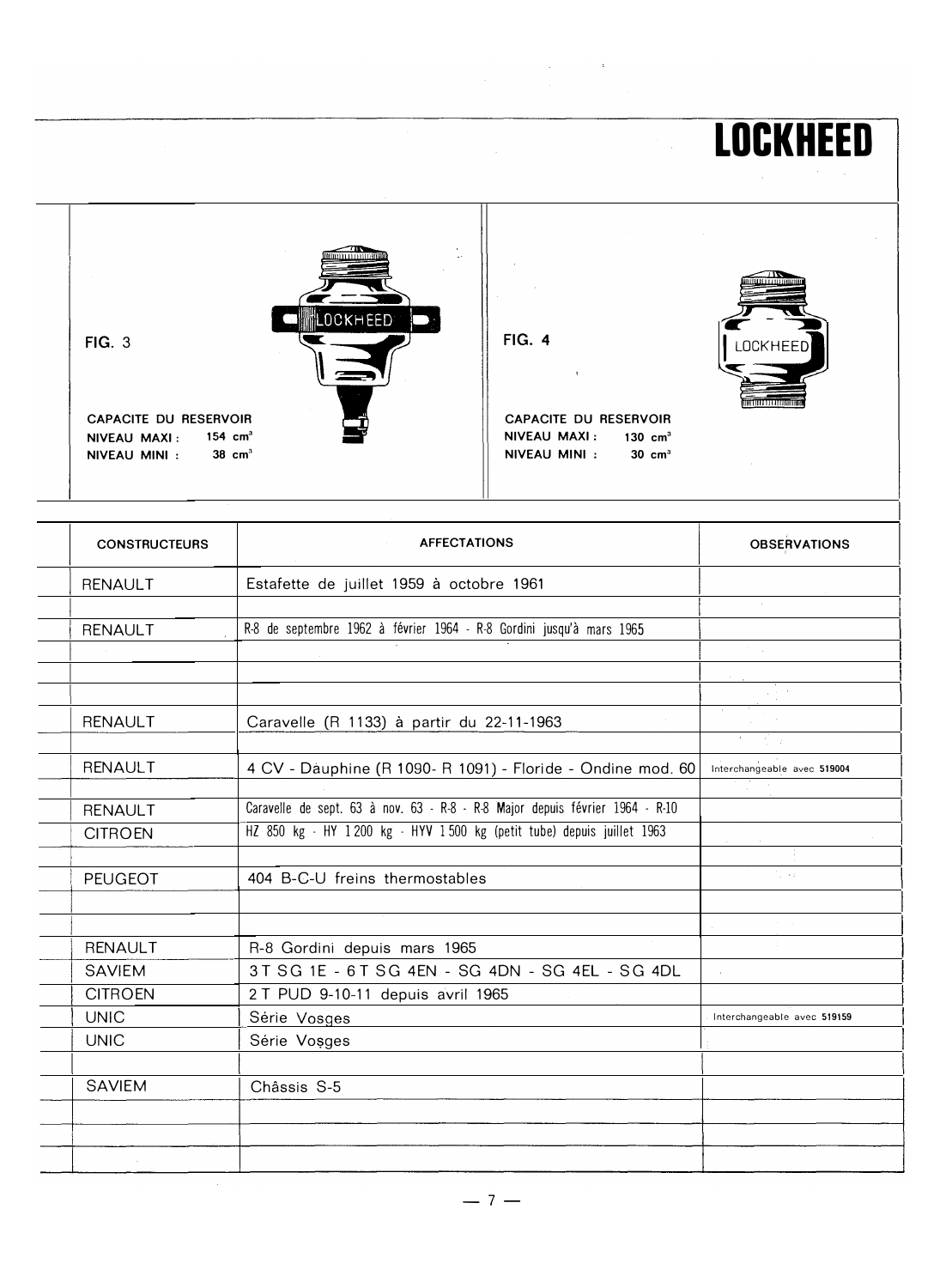### **LOCKHEED** LOCKHEED **FIG. 4 FIG. 3 LOCKHEED**  $\mathbf{t}$ **CAPACITE DU RESERVOIR** CAPACITE DU RESERVOIR NIVEAU MAXI: 130 cm<sup>3</sup> NIVEAU MAXI: 154 cm<sup>3</sup> NIVEAU MINI : 38 cm<sup>3</sup> NIVEAU MINI : 30 cm<sup>3</sup>

 $\mathcal{L}_{\text{max}}$  and  $\mathcal{L}_{\text{max}}$  . The  $\mathcal{L}_{\text{max}}$ 

| <b>CONSTRUCTEURS</b> | <b>AFFECTATIONS</b>                                                          | <b>OBSERVATIONS</b>         |
|----------------------|------------------------------------------------------------------------------|-----------------------------|
| <b>RENAULT</b>       | Estafette de juillet 1959 à octobre 1961                                     |                             |
|                      |                                                                              |                             |
| <b>RENAULT</b>       | R-8 de septembre 1962 à février 1964 - R-8 Gordini jusqu'à mars 1965         |                             |
|                      |                                                                              |                             |
|                      |                                                                              |                             |
|                      |                                                                              |                             |
| <b>RENAULT</b>       | Caravelle (R 1133) à partir du 22-11-1963                                    |                             |
|                      |                                                                              |                             |
| <b>RENAULT</b>       | 4 CV - Dauphine (R 1090- R 1091) - Floride - Ondine mod. 60                  | Interchangeable avec 519004 |
|                      |                                                                              |                             |
| <b>RENAULT</b>       | Caravelle de sept. 63 à nov. 63 - R-8 - R-8 Major depuis février 1964 - R-10 |                             |
| <b>CITROEN</b>       | HZ 850 kg - HY 1200 kg - HYV 1500 kg (petit tube) depuis juillet 1963        |                             |
|                      |                                                                              |                             |
| <b>PEUGEOT</b>       | 404 B-C-U freins thermostables                                               | $\sim$ 0.1                  |
|                      |                                                                              |                             |
|                      |                                                                              |                             |
| <b>RENAULT</b>       | R-8 Gordini depuis mars 1965                                                 |                             |
| <b>SAVIEM</b>        | 3 T S G 1 E - 6 T S G 4 EN - S G 4 DN - S G 4 EL - S G 4 DL                  |                             |
| <b>CITROEN</b>       | 2 T PUD 9-10-11 depuis avril 1965                                            |                             |
| <b>UNIC</b>          | Série Vosges                                                                 | Interchangeable avec 519159 |
| <b>UNIC</b>          | Série Vosges                                                                 |                             |
|                      |                                                                              |                             |
| <b>SAVIEM</b>        | Châssis S-5                                                                  |                             |
|                      |                                                                              |                             |
|                      |                                                                              |                             |
|                      |                                                                              |                             |

 $-7-$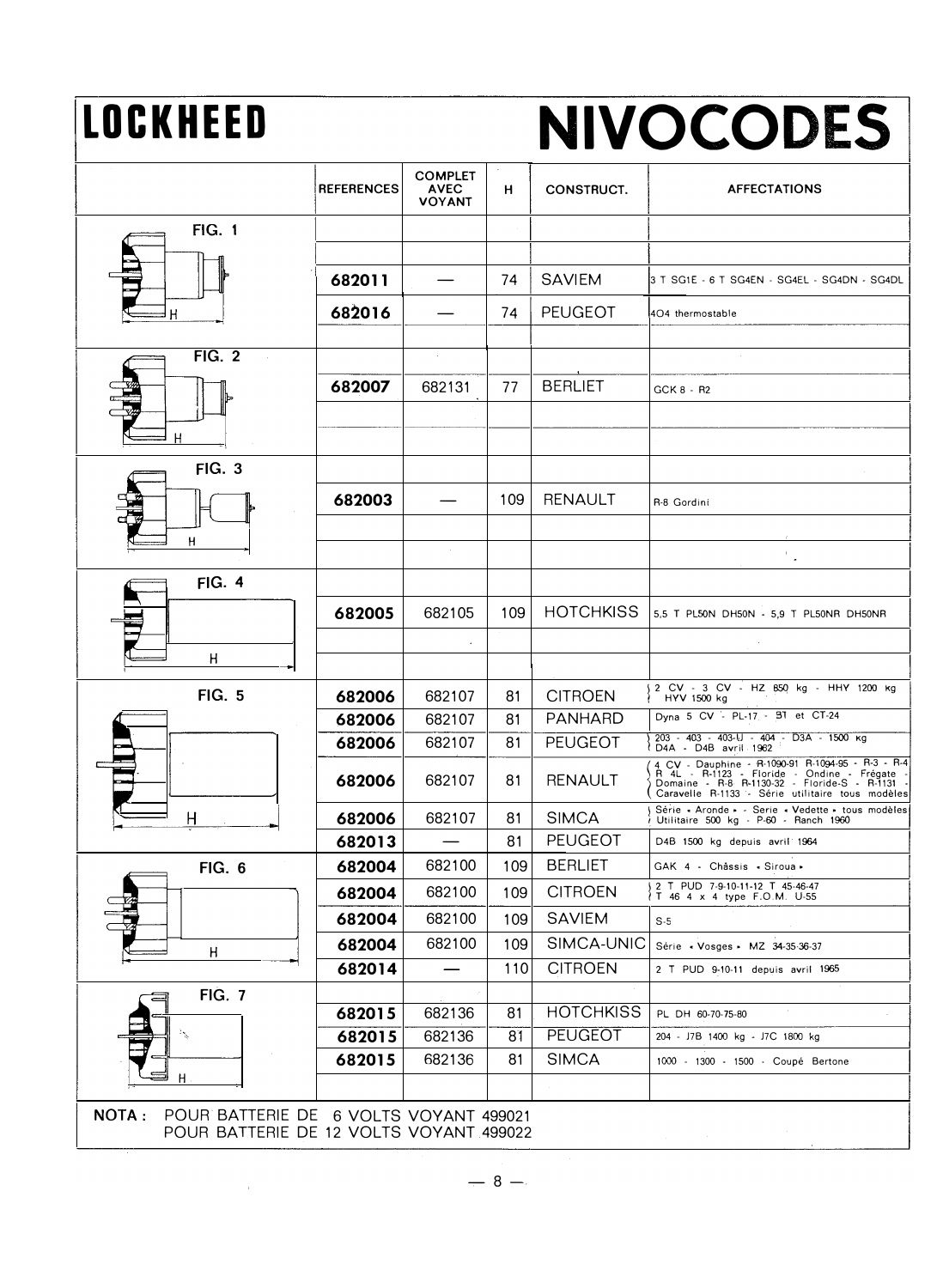# LOCKHEED

# NIVOCODES

|                                                                                                   | <b>REFERENCES</b> | <b>COMPLET</b><br><b>AVEC</b><br><b>VOYANT</b> | н   | CONSTRUCT.       | <b>AFFECTATIONS</b>                                                                                                                                                                                     |
|---------------------------------------------------------------------------------------------------|-------------------|------------------------------------------------|-----|------------------|---------------------------------------------------------------------------------------------------------------------------------------------------------------------------------------------------------|
| <b>FIG. 1</b>                                                                                     |                   |                                                |     |                  |                                                                                                                                                                                                         |
|                                                                                                   |                   |                                                |     |                  |                                                                                                                                                                                                         |
|                                                                                                   | 682011            |                                                | 74  | <b>SAVIEM</b>    | 3 T SG1E - 6 T SG4EN - SG4EL - SG4DN - SG4DL                                                                                                                                                            |
|                                                                                                   | 682016            |                                                | 74  | <b>PEUGEOT</b>   | 4O4 thermostable                                                                                                                                                                                        |
| FIG. 2                                                                                            |                   | $\sim$                                         |     |                  |                                                                                                                                                                                                         |
|                                                                                                   |                   |                                                |     | <b>BERLIET</b>   |                                                                                                                                                                                                         |
|                                                                                                   | 682007            | 682131                                         | 77  |                  | GCK 8 - R2                                                                                                                                                                                              |
| Н                                                                                                 |                   |                                                |     |                  |                                                                                                                                                                                                         |
| <b>FIG. 3</b>                                                                                     |                   |                                                |     |                  |                                                                                                                                                                                                         |
|                                                                                                   | 682003            |                                                | 109 | RENAULT          | R-8 Gordini                                                                                                                                                                                             |
| н                                                                                                 |                   |                                                |     |                  |                                                                                                                                                                                                         |
|                                                                                                   |                   | $\sim$                                         |     |                  | $\mathbb{P}_{\mathbb{Z}^2}$                                                                                                                                                                             |
| <b>FIG. 4</b>                                                                                     |                   |                                                |     |                  |                                                                                                                                                                                                         |
|                                                                                                   | 682005            | 682105                                         | 109 | <b>HOTCHKISS</b> | 5,5 T PL50N DH50N - 5,9 T PL50NR DH50NR                                                                                                                                                                 |
|                                                                                                   |                   |                                                |     |                  |                                                                                                                                                                                                         |
| Η                                                                                                 |                   |                                                |     |                  |                                                                                                                                                                                                         |
| <b>FIG. 5</b>                                                                                     | 682006            | 682107                                         | 81  | <b>CITROEN</b>   | 2 CV - 3 CV - HZ 850 kg - HHY 1200 kg<br>HYV 1500 kg                                                                                                                                                    |
|                                                                                                   | 682006            | 682107                                         | 81  | <b>PANHARD</b>   | Dyna 5 CV - PL-17 - BT et CT-24                                                                                                                                                                         |
|                                                                                                   | 682006            | 682107                                         | 81  | <b>PEUGEOT</b>   | 203 - 403 - 403-lJ - 404 - D3A - 1500 kg<br>D4A - D4B avril 1962                                                                                                                                        |
|                                                                                                   | 682006            | 682107                                         | 81  | <b>RENAULT</b>   | 4 CV - Dauphine - R-1090-91 R-1094-95 - R-3 - R-4<br>R 4L - R-1123 - Floride - Ondine - Frégate -<br>Domaine - R-8 R-1130-32 - Floride-S - R-1131 -<br>Caravelle R-1133 - Série utilitaire tous modèles |
| Η                                                                                                 | 682006            | 682107                                         | 81  | <b>SIMCA</b>     | Série - Aronde - - Serie - Vedette - tous modèles<br>Utilitaire 500 kg - P-60 - Ranch 1960                                                                                                              |
|                                                                                                   | 682013            |                                                | 81  | <b>PEUGEOT</b>   | D4B 1500 kg depuis avril 1964                                                                                                                                                                           |
| <b>FIG. 6</b>                                                                                     | 682004            | 682100                                         | 109 | <b>BERLIET</b>   | GAK 4 - Châssis - Siroua -                                                                                                                                                                              |
|                                                                                                   | 682004            | 682100                                         | 109 | <b>CITROEN</b>   | 2 T PUD 7-9-10-11-12 T 45-46-47<br>IT 46 4 x 4 type F.O.M. U-55                                                                                                                                         |
|                                                                                                   | 682004            | 682100                                         | 109 | <b>SAVIEM</b>    | $S-5$                                                                                                                                                                                                   |
| H                                                                                                 | 682004            | 682100                                         | 109 | SIMCA-UNIC       | Série « Vosges » MZ 34-35-36-37                                                                                                                                                                         |
|                                                                                                   | 682014            |                                                | 110 | <b>CITROEN</b>   | 2 T PUD 9-10-11 depuis avril 1965                                                                                                                                                                       |
| <b>FIG. 7</b>                                                                                     |                   |                                                |     |                  |                                                                                                                                                                                                         |
|                                                                                                   | 682015            | 682136                                         | 81  | <b>HOTCHKISS</b> | PL DH 60-70-75-80                                                                                                                                                                                       |
|                                                                                                   | 682015            | 682136                                         | 81  | PEUGEOT          | 204 - J7B 1400 kg - J7C 1800 kg                                                                                                                                                                         |
| н                                                                                                 | 682015            | 682136                                         | 81  | <b>SIMCA</b>     | 1000 - 1300 - 1500 - Coupé Bertone                                                                                                                                                                      |
|                                                                                                   |                   |                                                |     |                  |                                                                                                                                                                                                         |
| <b>NOTA:</b><br>POUR BATTERIE DE 6 VOLTS VOYANT 499021<br>POUR BATTERIE DE 12 VOLTS VOYANT 499022 |                   |                                                |     |                  |                                                                                                                                                                                                         |

 $\sim 4$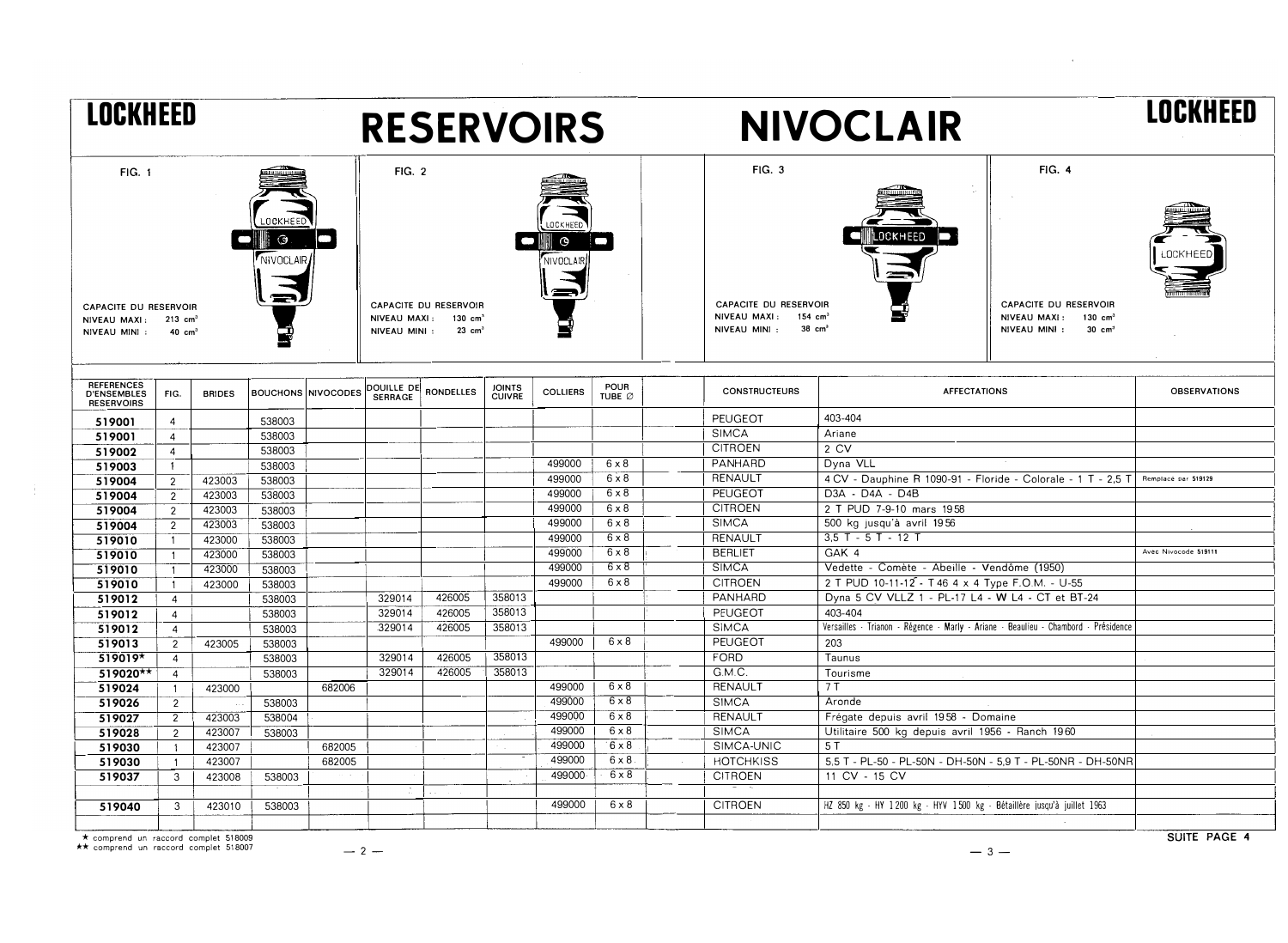| <b>LOCKHEED</b>                                                                             |                     |               |                                  |        |                                                | <b>RESERVOIRS</b>                                                |                                |                                               |                       |                                                                         | <b>NIVOCLAIR</b>                                                                   |                                                                                                           | LOCKHEED             |
|---------------------------------------------------------------------------------------------|---------------------|---------------|----------------------------------|--------|------------------------------------------------|------------------------------------------------------------------|--------------------------------|-----------------------------------------------|-----------------------|-------------------------------------------------------------------------|------------------------------------------------------------------------------------|-----------------------------------------------------------------------------------------------------------|----------------------|
| <b>FIG. 1</b><br>CAPACITE DU RESERVOIR<br>NIVEAU MAXI: 213 cm <sup>3</sup><br>NIVEAU MINI : | $40 \text{ cm}^3$   |               | LOCKHEED<br>$\odot$<br>NIVOCLAIR |        | <b>FIG. 2</b><br>NIVEAU MAXI:<br>NIVEAU MINI : | CAPACITE DU RESERVOIR<br>$130 \text{ cm}^3$<br>$23 \text{ cm}^3$ |                                | <b>OCKHEED</b><br>$\circ$<br><b>NIVOCLAIF</b> |                       | FIG. 3<br><b>CAPACITE DU RESERVOIR</b><br>NIVEAU MAXI:<br>NIVEAU MINI : | LOCKHEED<br>154 $cm3$<br>$38 \text{ cm}^3$                                         | <b>FIG. 4</b><br>CAPACITE DU RESERVOIR<br>NIVEAU MAXI:<br>130 $cm3$<br>NIVEAU MINI :<br>$30 \text{ cm}^3$ |                      |
| <b>REFERENCES</b><br><b>D'ENSEMBLES</b><br><b>RESERVOIRS</b>                                | FIG.                | <b>BRIDES</b> | <b>BOUCHONS NIVOCODES</b>        |        | <b>SERRAGE</b>                                 | DOUILLE DE RONDELLES                                             | <b>JOINTS</b><br><b>CUIVRE</b> | <b>COLLIERS</b>                               | <b>POUR</b><br>TUBE Ø | <b>CONSTRUCTEURS</b>                                                    | <b>AFFECTATIONS</b>                                                                |                                                                                                           | <b>OBSERVATIONS</b>  |
| 519001                                                                                      | $\overline{4}$      |               | 538003                           |        |                                                |                                                                  |                                |                                               |                       | PEUGEOT                                                                 | 403-404                                                                            |                                                                                                           |                      |
| 519001                                                                                      | $\overline{4}$      |               | 538003                           |        |                                                |                                                                  |                                |                                               |                       | <b>SIMCA</b>                                                            | Ariane                                                                             |                                                                                                           |                      |
| 519002                                                                                      | $\overline{4}$      |               | 538003                           |        |                                                |                                                                  |                                |                                               |                       | <b>CITROEN</b>                                                          | 2 CV                                                                               |                                                                                                           |                      |
| 519003                                                                                      | $\mathbf{1}$        |               | 538003                           |        |                                                |                                                                  |                                | 499000                                        | $6 \times 8$          | PANHARD                                                                 | Dyna VLL                                                                           |                                                                                                           |                      |
| 519004                                                                                      | $\overline{2}$      | 423003        | 538003                           |        |                                                |                                                                  |                                | 499000                                        | $6 \times 8$          | RENAULT                                                                 | 4 CV - Dauphine R 1090-91 - Floride - Colorale - 1 T - 2.5 T                       |                                                                                                           | Remplacé par 519129  |
| 519004                                                                                      | $\overline{2}$      | 423003        | 538003                           |        |                                                |                                                                  |                                | 499000                                        | $6 \times 8$          | PEUGEOT                                                                 | D3A - D4A - D4B                                                                    |                                                                                                           |                      |
| 519004                                                                                      | $\overline{2}$      | 423003        | 538003                           |        |                                                |                                                                  |                                | 499000                                        | $6 \times 8$          | <b>CITROEN</b>                                                          | 2 T PUD 7-9-10 mars 1958                                                           |                                                                                                           |                      |
| 519004                                                                                      | $\overline{2}$      | 423003        | 538003                           |        |                                                |                                                                  |                                | 499000                                        | $6 \times 8$          | <b>SIMCA</b>                                                            | 500 kg jusqu'à avril 1956                                                          |                                                                                                           |                      |
| 519010                                                                                      | $\overline{1}$      | 423000        | 538003                           |        |                                                |                                                                  |                                | 499000                                        | $6 \times 8$          | RENAULT                                                                 | $3.5$ T - $5$ T - 12 T                                                             |                                                                                                           |                      |
| 519010                                                                                      | $\mathbf{1}$        | 423000        | 538003                           |        |                                                |                                                                  |                                | 499000                                        | $6 \times 8$          | <b>BERLIET</b>                                                          | GAK 4                                                                              |                                                                                                           | Avec Nivocode 519111 |
| 519010                                                                                      | $\mathbf{1}$        | 423000        | 538003                           |        |                                                |                                                                  |                                | 499000                                        | $6 \times 8$          | <b>SIMCA</b>                                                            | Vedette - Comète - Abeille - Vendôme (1950)                                        |                                                                                                           |                      |
| 519010                                                                                      | $\mathbf{1}$        | 423000        | 538003                           |        |                                                |                                                                  |                                | 499000                                        | $6 \times 8$          | <b>CITROEN</b>                                                          | 2 T PUD 10-11-12 - T 46 4 x 4 Type F.O.M. - U-55                                   |                                                                                                           |                      |
| 519012                                                                                      | $\overline{4}$      |               | 538003                           |        | 329014                                         | 426005                                                           | 358013                         |                                               |                       | PANHARD                                                                 | Dyna 5 CV VLLZ 1 - PL-17 L4 - W L4 - CT et BT-24                                   |                                                                                                           |                      |
| 519012                                                                                      | $\overline{4}$      |               | 538003                           |        | 329014                                         | 426005                                                           | 358013                         |                                               |                       | PEUGEOT                                                                 | 403-404                                                                            |                                                                                                           |                      |
| 519012                                                                                      | $\overline{4}$      |               | 538003                           |        | 329014                                         | 426005                                                           | 358013                         |                                               |                       | <b>SIMCA</b>                                                            | Versailles - Trianon - Régence - Marly - Ariane - Beaulieu - Chambord - Présidence |                                                                                                           |                      |
| 519013                                                                                      | $\overline{2}$      | 423005        | 538003                           |        |                                                |                                                                  |                                | 499000                                        | $6 \times 8$          | <b>PEUGEOT</b>                                                          | 203                                                                                |                                                                                                           |                      |
| 519019*                                                                                     | $\overline{4}$      |               | 538003                           |        | 329014                                         | 426005                                                           | 358013                         |                                               |                       | FORD                                                                    | Taunus                                                                             |                                                                                                           |                      |
| 519020**                                                                                    | $\overline{4}$      |               | 538003                           |        | 329014                                         | 426005                                                           | 358013                         |                                               |                       | G.M.C.                                                                  | Tourisme                                                                           |                                                                                                           |                      |
| 519024                                                                                      | $\overline{1}$      | 423000        |                                  | 682006 |                                                |                                                                  |                                | 499000                                        | $6 \times 8$          | RENAULT                                                                 | 7T                                                                                 |                                                                                                           |                      |
| 519026                                                                                      | $\overline{2}$      |               | 538003                           |        |                                                |                                                                  |                                | 499000                                        | $6 \times 8$          | <b>SIMCA</b>                                                            | Aronde                                                                             |                                                                                                           |                      |
| 519027                                                                                      | $\overline{2}$      | 423003        | 538004                           |        |                                                |                                                                  |                                | 499000                                        | $6 \times 8$          | RENAULT                                                                 | Frégate depuis avril 1958 - Domaine                                                |                                                                                                           |                      |
| 519028                                                                                      | $\overline{2}$      | 423007        | 538003                           |        |                                                |                                                                  |                                | 499000                                        | $6 \times 8$          | <b>SIMCA</b>                                                            | Utilitaire 500 kg depuis avril 1956 - Ranch 1960                                   |                                                                                                           |                      |
| 519030                                                                                      | $\ddot{\mathbf{1}}$ | 423007        |                                  | 682005 |                                                |                                                                  |                                | 499000                                        | $6 \times 8$          | SIMCA-UNIC                                                              | 5 T                                                                                |                                                                                                           |                      |
| 519030                                                                                      | $\overline{1}$      | 423007        |                                  | 682005 |                                                |                                                                  |                                | 499000                                        | $6 \times 8$          | <b>HOTCHKISS</b>                                                        | 5,5 T - PL-50 - PL-50N - DH-50N - 5,9 T - PL-50NR - DH-50NR                        |                                                                                                           |                      |
| 519037                                                                                      | 3                   | 423008        | 538003                           |        |                                                |                                                                  |                                | 499000                                        | $6 \times 8$          | <b>CITROEN</b>                                                          | 11 CV - 15 CV                                                                      |                                                                                                           |                      |
|                                                                                             |                     |               |                                  |        |                                                |                                                                  |                                |                                               |                       |                                                                         |                                                                                    |                                                                                                           |                      |
| 519040                                                                                      | 3                   | 423010        | 538003                           |        |                                                |                                                                  |                                | 499000                                        | $6 \times 8$          | <b>CITROEN</b>                                                          | HZ 850 kg - HY 1200 kg - HYV 1500 kg - Bétaillère jusqu'à juillet 1963             |                                                                                                           |                      |
|                                                                                             |                     |               |                                  |        |                                                |                                                                  |                                |                                               |                       |                                                                         |                                                                                    |                                                                                                           |                      |

\* comprend un raccord complet <sup>518009</sup> \*\* comprend un raccord complet <sup>518007</sup>

 $\sim 40$ 

 $-2-$ 

 $-3-$ 

 $\mathcal{L}^{\text{max}}_{\text{max}}$  and  $\mathcal{L}^{\text{max}}_{\text{max}}$ 

SUITE PAGE <sup>4</sup>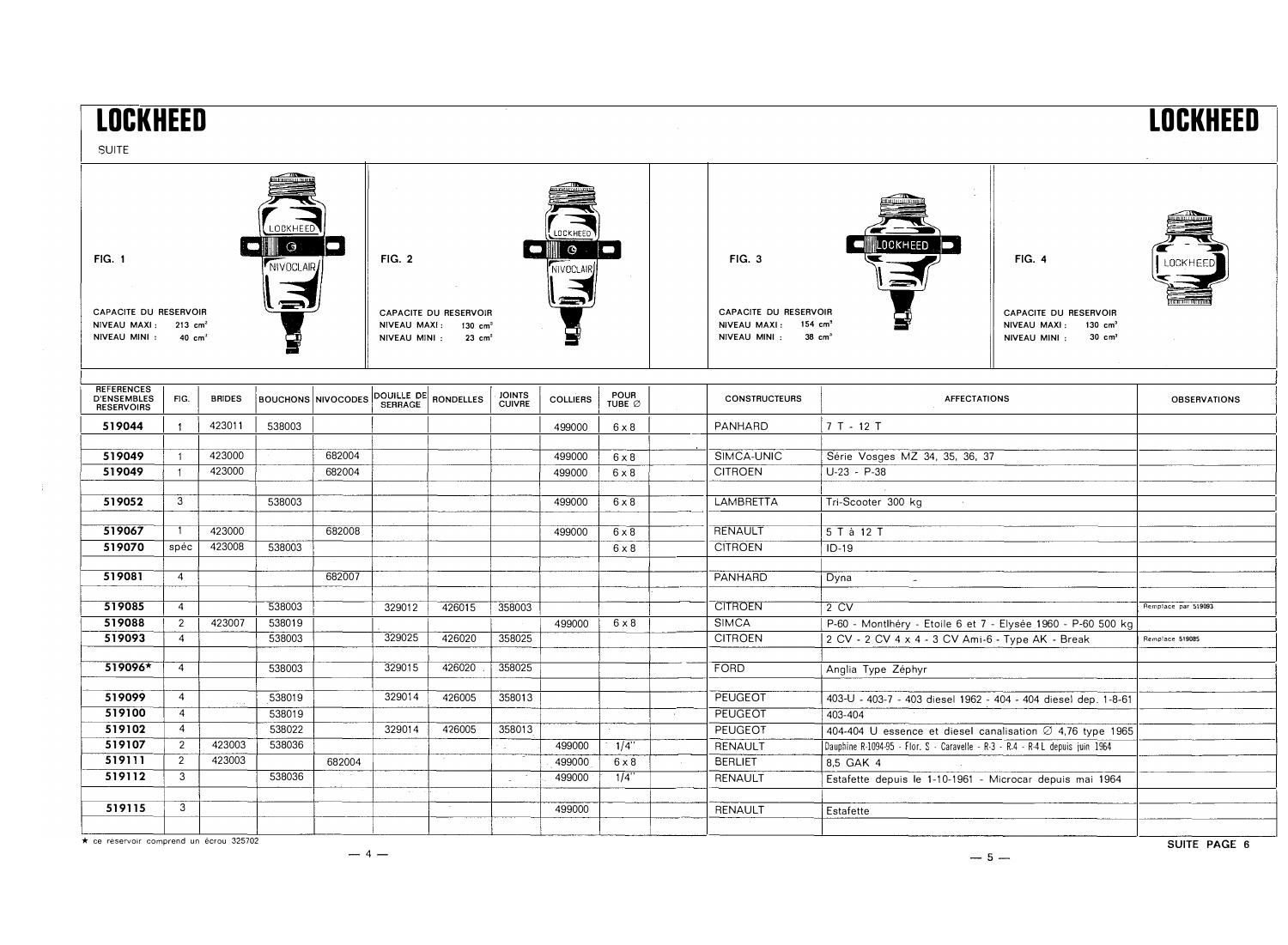| <b>NCKHEED</b><br><b>SUITE</b>                                                                                                                     |                |               |        |                           |                                                                                                                         |                      |                                |                 |                       |  |                                                                                                         |                                                                               |                                                                                                           | <b>I NCKHFFN</b>    |
|----------------------------------------------------------------------------------------------------------------------------------------------------|----------------|---------------|--------|---------------------------|-------------------------------------------------------------------------------------------------------------------------|----------------------|--------------------------------|-----------------|-----------------------|--|---------------------------------------------------------------------------------------------------------|-------------------------------------------------------------------------------|-----------------------------------------------------------------------------------------------------------|---------------------|
| <b>LOCKHEED</b><br>$\odot$<br><b>FIG. 1</b><br>NIVOCLAIR<br>CAPACITE DU RESERVOIR<br>NIVEAU MAXI: 213 cm <sup>3</sup><br>NIVEAU MINI :<br>40 $cm3$ |                |               |        |                           | ে<br><b>FIG. 2</b><br>CAPACITE DU RESERVOIR<br>NIVEAU MAXI:<br>$130 \text{ cm}^3$<br>NIVEAU MINI :<br>$23 \text{ cm}^3$ |                      |                                |                 |                       |  | FIG. 3<br>CAPACITE DU RESERVOIR<br>NIVEAU MAXI: 154 cm <sup>3</sup><br>NIVEAU MINI : 38 cm <sup>3</sup> | <b>OCKHEED</b>                                                                | <b>FIG. 4</b><br>CAPACITE DU RESERVOIR<br>NIVEAU MAXI:<br>130 $cm3$<br>NIVEAU MINI :<br>$30 \text{ cm}^3$ |                     |
| REFERENCES<br>D'ENSEMBLES<br>RESERVOIRS                                                                                                            | FIG.           | <b>BRIDES</b> |        | <b>BOUCHONS NIVOCODES</b> | <b>SERRAGE</b>                                                                                                          | DOUILLE DE RONDELLES | <b>JOINTS</b><br><b>CUIVRE</b> | <b>COLLIERS</b> | <b>POUR</b><br>TUBE Ø |  | <b>CONSTRUCTEURS</b>                                                                                    | <b>AFFECTATIONS</b>                                                           |                                                                                                           | <b>OBSERVATIONS</b> |
| 519044                                                                                                                                             | $\overline{1}$ | 423011        | 538003 |                           |                                                                                                                         |                      |                                | 499000          | $6 \times 8$          |  | PANHARD                                                                                                 | $7T - 12T$                                                                    |                                                                                                           |                     |
| 519049                                                                                                                                             | $\overline{1}$ | 423000        |        | 682004                    |                                                                                                                         |                      |                                | 499000          | $6 \times 8$          |  | SIMCA-UNIC                                                                                              | Série Vosges MZ 34, 35, 36, 37                                                |                                                                                                           |                     |
| 519049                                                                                                                                             | $\overline{1}$ | 423000        |        | 682004                    |                                                                                                                         |                      |                                | 499000          | $6 \times 8$          |  | <b>CITROEN</b>                                                                                          | $U-23 - P-38$                                                                 |                                                                                                           |                     |
|                                                                                                                                                    |                |               |        |                           |                                                                                                                         |                      |                                |                 |                       |  |                                                                                                         |                                                                               |                                                                                                           |                     |
| 519052                                                                                                                                             | 3              |               | 538003 |                           |                                                                                                                         |                      |                                | 499000          | $6 \times 8$          |  | <b>LAMBRETTA</b>                                                                                        | Tri-Scooter 300 kg                                                            |                                                                                                           |                     |
| 519067                                                                                                                                             | $\overline{1}$ | 423000        |        | 682008                    |                                                                                                                         |                      |                                | 499000          | $6 \times 8$          |  | <b>RENAULT</b>                                                                                          | 5 T à 12 T                                                                    |                                                                                                           |                     |
| 519070                                                                                                                                             | spéc           | 423008        | 538003 |                           |                                                                                                                         |                      |                                |                 | $6 \times 8$          |  | <b>CITROEN</b>                                                                                          | $ID-19$                                                                       |                                                                                                           |                     |
|                                                                                                                                                    |                |               |        |                           |                                                                                                                         |                      |                                |                 |                       |  |                                                                                                         |                                                                               |                                                                                                           |                     |
| 519081                                                                                                                                             | $\overline{4}$ |               |        | 682007                    |                                                                                                                         |                      |                                |                 |                       |  | PANHARD                                                                                                 | Dyna<br><b>Section</b>                                                        |                                                                                                           |                     |
| 519085                                                                                                                                             | $\overline{4}$ |               | 538003 |                           | 329012                                                                                                                  | 426015               | 358003                         |                 |                       |  | <b>CITROEN</b>                                                                                          | 2 CV                                                                          |                                                                                                           | Remplace par 519093 |
| 519088                                                                                                                                             | $\overline{2}$ | 423007        | 538019 |                           |                                                                                                                         |                      |                                | 499000          | $6 \times 8$          |  | <b>SIMCA</b>                                                                                            | P-60 - Montlhéry - Etoile 6 et 7 - Elysée 1960 - P-60 500 kg                  |                                                                                                           |                     |
| 519093                                                                                                                                             | $\overline{4}$ |               | 538003 |                           | 329025                                                                                                                  | 426020               | 358025                         |                 |                       |  | <b>CITROEN</b>                                                                                          | 2 CV - 2 CV 4 x 4 - 3 CV Ami-6 - Type AK - Break                              |                                                                                                           | Remplace 519085     |
| 519096*                                                                                                                                            | $\overline{4}$ |               | 538003 |                           | 329015                                                                                                                  | 426020               | 358025                         |                 |                       |  | <b>FORD</b>                                                                                             |                                                                               |                                                                                                           |                     |
|                                                                                                                                                    |                |               |        |                           |                                                                                                                         |                      |                                |                 |                       |  |                                                                                                         | Anglia Type Zéphyr                                                            |                                                                                                           |                     |
| 519099                                                                                                                                             | $\overline{4}$ |               | 538019 |                           | 329014                                                                                                                  | 426005               | 358013                         |                 |                       |  | PEUGEOT                                                                                                 | 403-U - 403-7 - 403 diesel 1962 - 404 - 404 diesel dep. 1-8-61                |                                                                                                           |                     |
| 519100                                                                                                                                             | $\overline{4}$ |               | 538019 |                           |                                                                                                                         |                      |                                |                 |                       |  | PEUGEOT                                                                                                 | 403-404                                                                       |                                                                                                           |                     |
| 519102                                                                                                                                             | $\overline{4}$ |               | 538022 |                           | 329014                                                                                                                  | 426005               | 358013                         |                 |                       |  | <b>PEUGEOT</b>                                                                                          | 404-404 U essence et diesel canalisation Ø 4,76 type 1965                     |                                                                                                           |                     |
| 519107                                                                                                                                             | $\overline{2}$ | 423003        | 538036 |                           |                                                                                                                         |                      |                                | 499000          | 1/4                   |  | RENAULT                                                                                                 | Dauphine R-1094-95 - Flor. S - Caravelle - R-3 - R-4 - R-4 L depuis juin 1964 |                                                                                                           |                     |
| 519111                                                                                                                                             | $\overline{2}$ | 423003        |        | 682004                    |                                                                                                                         |                      |                                | 499000          | $6 \times 8$          |  | <b>BERLIET</b>                                                                                          | 8,5 GAK 4                                                                     |                                                                                                           |                     |
| 519112                                                                                                                                             | 3              |               | 538036 |                           |                                                                                                                         |                      |                                | 499000          | $1/\overline{4}$ "    |  | <b>RENAULT</b>                                                                                          | Estafette depuis le 1-10-1961 - Microcar depuis mai 1964                      |                                                                                                           |                     |
|                                                                                                                                                    |                |               |        |                           |                                                                                                                         |                      |                                |                 |                       |  |                                                                                                         |                                                                               |                                                                                                           |                     |
| 519115                                                                                                                                             | 3              |               |        |                           |                                                                                                                         |                      |                                | 499000          |                       |  | RENAULT                                                                                                 | Estafette                                                                     |                                                                                                           |                     |
|                                                                                                                                                    |                |               |        |                           |                                                                                                                         |                      |                                |                 |                       |  |                                                                                                         |                                                                               |                                                                                                           |                     |

\* ce réservoir comprend un écrou 325702

 $-4-$ 

 $-5-$ 

SUITE PAGE 6